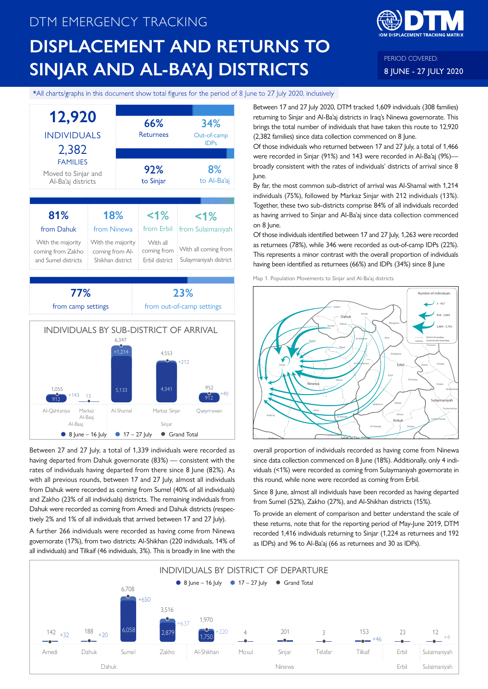# DTM EMERGENCY TRACKING **DISPLACEMENT AND RETURNS TO SINJAR AND AL-BA'AJ DISTRICTS**



PERIOD COVERED: 8 JUNE - 27 JULY 2020

# \*All charts/graphs in this document show total figures for the period of 8 June to 27 July 2020, inclusively



Between 27 and 27 July, a total of 1,339 individuals were recorded as having departed from Dahuk governorate (83%) — consistent with the rates of individuals having departed from there since 8 June (82%). As with all previous rounds, between 17 and 27 July, almost all individuals from Dahuk were recorded as coming from Sumel (40% of all individuals) and Zakho (23% of all individuals) districts. The remaining individuals from Dahuk were recorded as coming from Amedi and Dahuk districts (respectively 2% and 1% of all individuals that arrived between 17 and 27 July).

A further 266 individuals were recorded as having come from Ninewa governorate (17%), from two districts: Al-Shikhan (220 individuals, 14% of all individuals) and Tilkaif (46 individuals, 3%). This is broadly in line with the

Between 17 and 27 July 2020, DTM tracked 1,609 individuals (308 families) returning to Sinjar and Al-Ba'aj districts in Iraq's Ninewa governorate. This brings the total number of individuals that have taken this route to 12,920 (2,382 families) since data collection commenced on 8 June.

Of those individuals who returned between 17 and 27 July, a total of 1,466 were recorded in Sinjar (91%) and 143 were recorded in Al-Ba'aj (9%) broadly consistent with the rates of individuals' districts of arrival since 8 June.

By far, the most common sub-district of arrival was Al-Shamal with 1,214 individuals (75%), followed by Markaz Sinjar with 212 individuals (13%). Together, these two sub-districts comprise 84% of all individuals recorded as having arrived to Sinjar and Al-Ba'aj since data collection commenced on 8 June.

Of those individuals identified between 17 and 27 July, 1,263 were recorded as returnees (78%), while 346 were recorded as out-of-camp IDPs (22%). This represents a minor contrast with the overall proportion of individuals having been identified as returnees (66%) and IDPs (34%) since 8 June

Map 1. Population Movements to Sinjar and Al-Ba'aj districts



overall proportion of individuals recorded as having come from Ninewa since data collection commenced on 8 June (18%). Additionally, only 4 individuals (<1%) were recorded as coming from Sulaymaniyah governorate in this round, while none were recorded as coming from Erbil.

Tooz

Kalar Tikrit

Since 8 June, almost all individuals have been recorded as having departed from Sumel (52%), Zakho (27%), and Al-Shikhan districts (15%).

To provide an element of comparison and better understand the scale of these returns, note that for the reporting period of May-June 2019, DTM recorded 1,416 individuals returning to Sinjar (1,224 as returnees and 192 as IDPs) and 96 to Al-Ba'aj (66 as returnees and 30 as IDPs).